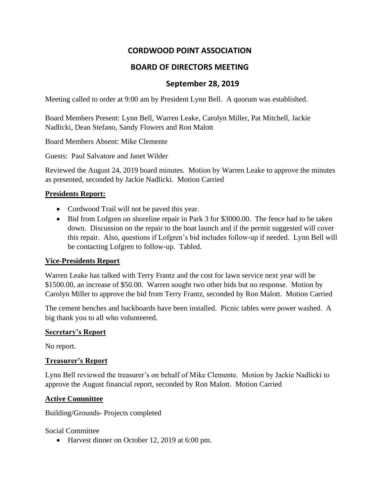# **CORDWOOD POINT ASSOCIATION**

# **BOARD OF DIRECTORS MEETING**

## **September 28, 2019**

Meeting called to order at 9:00 am by President Lynn Bell. A quorum was established.

Board Members Present: Lynn Bell, Warren Leake, Carolyn Miller, Pat Mitchell, Jackie Nadlicki, Dean Stefano, Sandy Flowers and Ron Malott

Board Members Absent: Mike Clemente

Guests: Paul Salvatore and Janet Wilder

Reviewed the August 24, 2019 board minutes. Motion by Warren Leake to approve the minutes as presented, seconded by Jackie Nadlicki. Motion Carried

### **Presidents Report:**

- Cordwood Trail will not be paved this year.
- Bid from Lofgren on shoreline repair in Park 3 for \$3000.00. The fence had to be taken down. Discussion on the repair to the boat launch and if the permit suggested will cover this repair. Also, questions if Lofgren's bid includes follow-up if needed. Lynn Bell will be contacting Lofgren to follow-up. Tabled.

### **Vice-Presidents Report**

Warren Leake has talked with Terry Frantz and the cost for lawn service next year will be \$1500.00, an increase of \$50.00. Warren sought two other bids but no response. Motion by Carolyn Miller to approve the bid from Terry Frantz, seconded by Ron Malott. Motion Carried

The cement benches and backboards have been installed. Picnic tables were power washed. A big thank you to all who volunteered.

#### **Secretary's Report**

No report.

### **Treasurer's Report**

Lynn Bell reviewed the treasurer's on behalf of Mike Clemente. Motion by Jackie Nadlicki to approve the August financial report, seconded by Ron Malott. Motion Carried

### **Active Committee**

Building/Grounds- Projects completed

Social Committee

• Harvest dinner on October 12, 2019 at 6:00 pm.